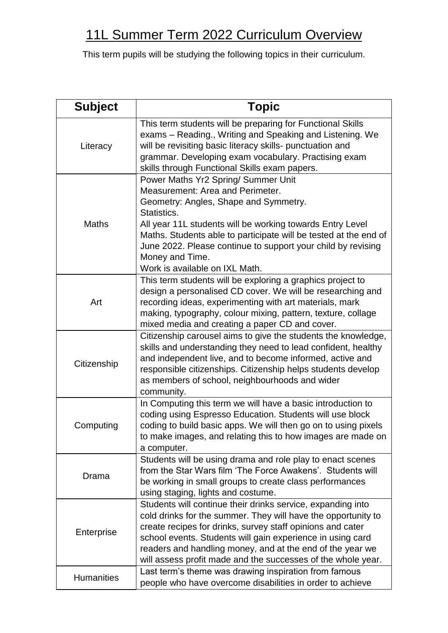## 11L Summer Term 2022 Curriculum Overview

This term pupils will be studying the following topics in their curriculum.

| <b>Subject</b>    | <b>Topic</b>                                                                                                                                                                                                                                                                                                                                                                          |
|-------------------|---------------------------------------------------------------------------------------------------------------------------------------------------------------------------------------------------------------------------------------------------------------------------------------------------------------------------------------------------------------------------------------|
| Literacy          | This term students will be preparing for Functional Skills<br>exams – Reading., Writing and Speaking and Listening. We<br>will be revisiting basic literacy skills- punctuation and<br>grammar. Developing exam vocabulary. Practising exam<br>skills through Functional Skills exam papers.                                                                                          |
| <b>Maths</b>      | Power Maths Yr2 Spring/ Summer Unit<br>Measurement: Area and Perimeter.<br>Geometry: Angles, Shape and Symmetry.<br>Statistics.<br>All year 11L students will be working towards Entry Level<br>Maths. Students able to participate will be tested at the end of<br>June 2022. Please continue to support your child by revising<br>Money and Time.<br>Work is available on IXL Math. |
| Art               | This term students will be exploring a graphics project to<br>design a personalised CD cover. We will be researching and<br>recording ideas, experimenting with art materials, mark<br>making, typography, colour mixing, pattern, texture, collage<br>mixed media and creating a paper CD and cover.                                                                                 |
| Citizenship       | Citizenship carousel aims to give the students the knowledge,<br>skills and understanding they need to lead confident, healthy<br>and independent live, and to become informed, active and<br>responsible citizenships. Citizenship helps students develop<br>as members of school, neighbourhoods and wider<br>community.                                                            |
| Computing         | In Computing this term we will have a basic introduction to<br>coding using Espresso Education. Students will use block<br>coding to build basic apps. We will then go on to using pixels<br>to make images, and relating this to how images are made on<br>a computer.                                                                                                               |
| Drama             | Students will be using drama and role play to enact scenes<br>from the Star Wars film 'The Force Awakens'. Students will<br>be working in small groups to create class performances<br>using staging, lights and costume.                                                                                                                                                             |
| Enterprise        | Students will continue their drinks service, expanding into<br>cold drinks for the summer. They will have the opportunity to<br>create recipes for drinks, survey staff opinions and cater<br>school events. Students will gain experience in using card<br>readers and handling money, and at the end of the year we<br>will assess profit made and the successes of the whole year. |
| <b>Humanities</b> | Last term's theme was drawing inspiration from famous<br>people who have overcome disabilities in order to achieve                                                                                                                                                                                                                                                                    |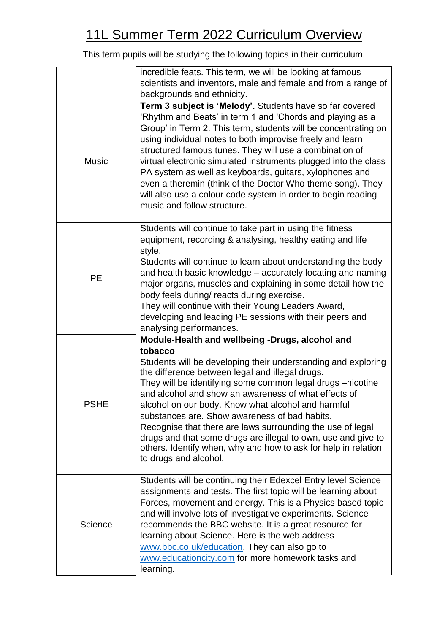## 11L Summer Term 2022 Curriculum Overview

This term pupils will be studying the following topics in their curriculum.

|              | incredible feats. This term, we will be looking at famous<br>scientists and inventors, male and female and from a range of<br>backgrounds and ethnicity.                                                                                                                                                                                                                                                                                                                                                                                                                                                                              |
|--------------|---------------------------------------------------------------------------------------------------------------------------------------------------------------------------------------------------------------------------------------------------------------------------------------------------------------------------------------------------------------------------------------------------------------------------------------------------------------------------------------------------------------------------------------------------------------------------------------------------------------------------------------|
| <b>Music</b> | Term 3 subject is 'Melody'. Students have so far covered<br>'Rhythm and Beats' in term 1 and 'Chords and playing as a<br>Group' in Term 2. This term, students will be concentrating on<br>using individual notes to both improvise freely and learn<br>structured famous tunes. They will use a combination of<br>virtual electronic simulated instruments plugged into the class<br>PA system as well as keyboards, guitars, xylophones and<br>even a theremin (think of the Doctor Who theme song). They<br>will also use a colour code system in order to begin reading<br>music and follow structure.                            |
| <b>PE</b>    | Students will continue to take part in using the fitness<br>equipment, recording & analysing, healthy eating and life<br>style.<br>Students will continue to learn about understanding the body<br>and health basic knowledge – accurately locating and naming<br>major organs, muscles and explaining in some detail how the<br>body feels during/ reacts during exercise.<br>They will continue with their Young Leaders Award,<br>developing and leading PE sessions with their peers and<br>analysing performances.                                                                                                               |
| <b>PSHE</b>  | Module-Health and wellbeing -Drugs, alcohol and<br>tobacco<br>Students will be developing their understanding and exploring<br>the difference between legal and illegal drugs.<br>They will be identifying some common legal drugs -nicotine<br>and alcohol and show an awareness of what effects of<br>alcohol on our body. Know what alcohol and harmful<br>substances are. Show awareness of bad habits.<br>Recognise that there are laws surrounding the use of legal<br>drugs and that some drugs are illegal to own, use and give to<br>others. Identify when, why and how to ask for help in relation<br>to drugs and alcohol. |
| Science      | Students will be continuing their Edexcel Entry level Science<br>assignments and tests. The first topic will be learning about<br>Forces, movement and energy. This is a Physics based topic<br>and will involve lots of investigative experiments. Science<br>recommends the BBC website. It is a great resource for<br>learning about Science. Here is the web address<br>www.bbc.co.uk/education. They can also go to<br>www.educationcity.com for more homework tasks and<br>learning.                                                                                                                                            |